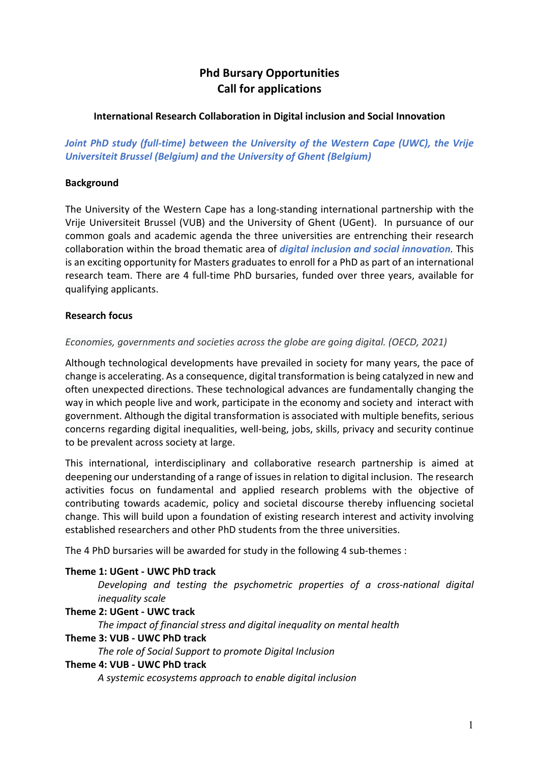# **Phd Bursary Opportunities Call for applications**

### **International Research Collaboration in Digital inclusion and Social Innovation**

*Joint PhD study (full-time) between the University of the Western Cape (UWC), the Vrije Universiteit Brussel (Belgium) and the University of Ghent (Belgium)* 

### **Background**

The University of the Western Cape has a long-standing international partnership with the Vrije Universiteit Brussel (VUB) and the University of Ghent (UGent). In pursuance of our common goals and academic agenda the three universities are entrenching their research collaboration within the broad thematic area of *digital inclusion and social innovation.* This is an exciting opportunity for Masters graduates to enroll for a PhD as part of an international research team. There are 4 full-time PhD bursaries, funded over three years, available for qualifying applicants.

### **Research focus**

### *Economies, governments and societies across the globe are going digital. (OECD, 2021)*

Although technological developments have prevailed in society for many years, the pace of change is accelerating. As a consequence, digital transformation is being catalyzed in new and often unexpected directions. These technological advances are fundamentally changing the way in which people live and work, participate in the economy and society and interact with government. Although the digital transformation is associated with multiple benefits, serious concerns regarding digital inequalities, well-being, jobs, skills, privacy and security continue to be prevalent across society at large.

This international, interdisciplinary and collaborative research partnership is aimed at deepening our understanding of a range of issues in relation to digital inclusion. The research activities focus on fundamental and applied research problems with the objective of contributing towards academic, policy and societal discourse thereby influencing societal change. This will build upon a foundation of existing research interest and activity involving established researchers and other PhD students from the three universities.

The 4 PhD bursaries will be awarded for study in the following 4 sub-themes :

# **Theme 1: UGent - UWC PhD track**

*Developing and testing the psychometric properties of a cross-national digital inequality scale*

### **Theme 2: UGent - UWC track**

*The impact of financial stress and digital inequality on mental health*  **Theme 3: VUB - UWC PhD track**

*The role of Social Support to promote Digital Inclusion*

### **Theme 4: VUB - UWC PhD track**

*A systemic ecosystems approach to enable digital inclusion*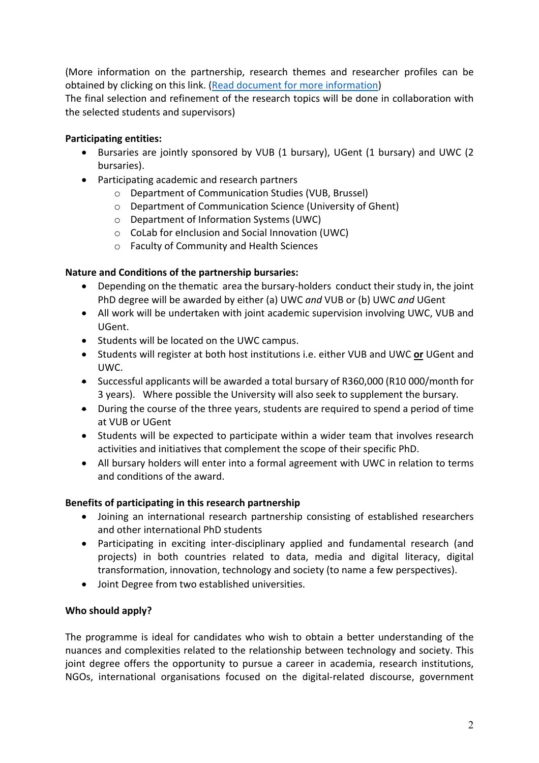(More information on the partnership, research themes and researcher profiles can be obtained by clicking on this link. (Read document for more information)

The final selection and refinement of the research topics will be done in collaboration with the selected students and supervisors)

# **Participating entities:**

- Bursaries are jointly sponsored by VUB (1 bursary), UGent (1 bursary) and UWC (2 bursaries).
- Participating academic and research partners
	- o Department of Communication Studies (VUB, Brussel)
	- o Department of Communication Science (University of Ghent)
	- o Department of Information Systems (UWC)
	- o CoLab for eInclusion and Social Innovation (UWC)
	- o Faculty of Community and Health Sciences

# **Nature and Conditions of the partnership bursaries:**

- Depending on the thematic area the bursary-holders conduct their study in, the joint PhD degree will be awarded by either (a) UWC *and* VUB or (b) UWC *and* UGent
- All work will be undertaken with joint academic supervision involving UWC, VUB and UGent.
- Students will be located on the UWC campus.
- Students will register at both host institutions i.e. either VUB and UWC **or** UGent and UWC.
- Successful applicants will be awarded a total bursary of R360,000 (R10 000/month for 3 years). Where possible the University will also seek to supplement the bursary.
- During the course of the three years, students are required to spend a period of time at VUB or UGent
- Students will be expected to participate within a wider team that involves research activities and initiatives that complement the scope of their specific PhD.
- All bursary holders will enter into a formal agreement with UWC in relation to terms and conditions of the award.

# **Benefits of participating in this research partnership**

- Joining an international research partnership consisting of established researchers and other international PhD students
- Participating in exciting inter-disciplinary applied and fundamental research (and projects) in both countries related to data, media and digital literacy, digital transformation, innovation, technology and society (to name a few perspectives).
- Joint Degree from two established universities.

# **Who should apply?**

The programme is ideal for candidates who wish to obtain a better understanding of the nuances and complexities related to the relationship between technology and society. This joint degree offers the opportunity to pursue a career in academia, research institutions, NGOs, international organisations focused on the digital-related discourse, government